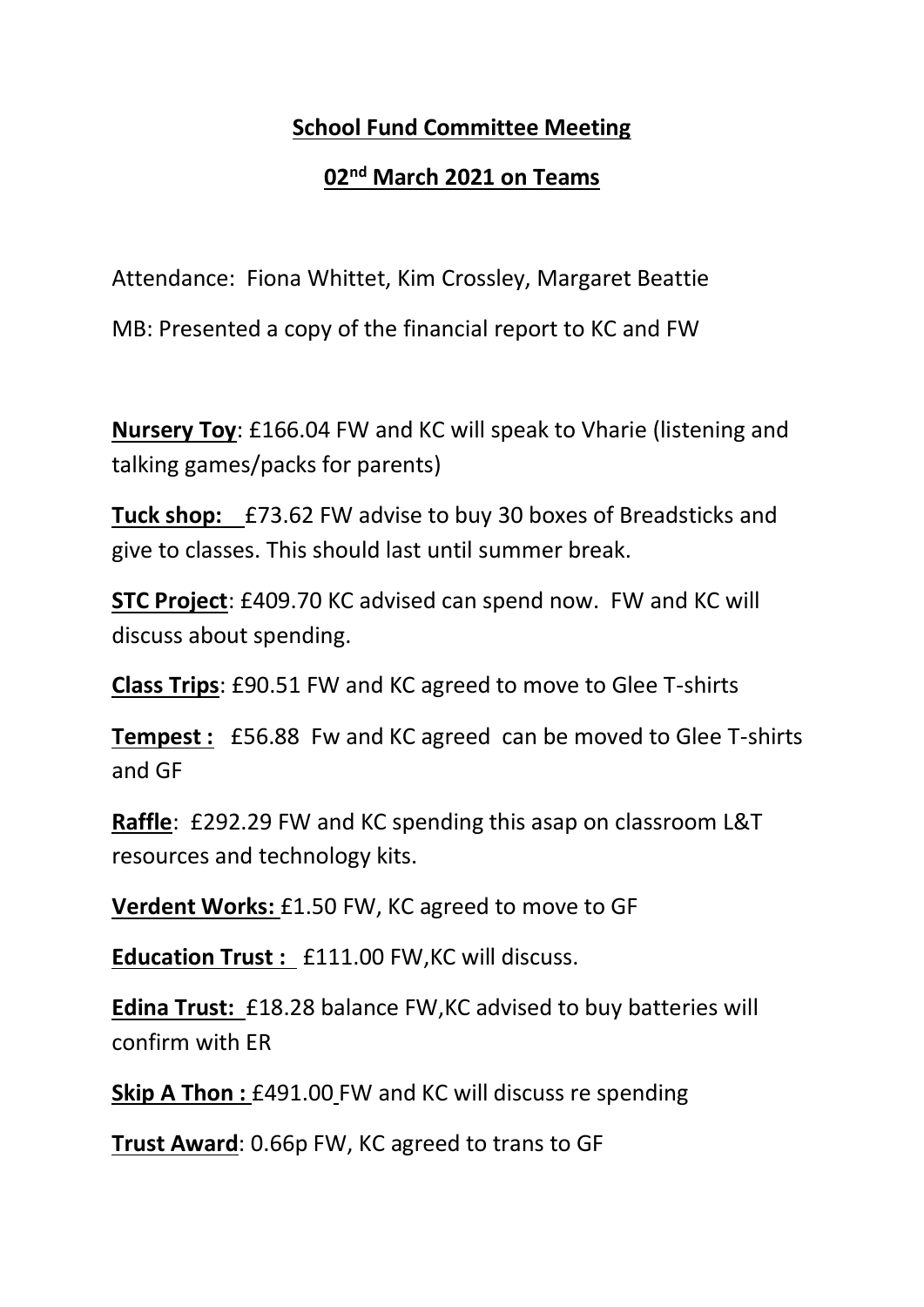## **School Fund Committee Meeting**

## **02nd March 2021 on Teams**

Attendance: Fiona Whittet, Kim Crossley, Margaret Beattie

MB: Presented a copy of the financial report to KC and FW

**Nursery Toy**: £166.04 FW and KC will speak to Vharie (listening and talking games/packs for parents)

**Tuck shop:** £73.62 FW advise to buy 30 boxes of Breadsticks and give to classes. This should last until summer break.

**STC Project**: £409.70 KC advised can spend now. FW and KC will discuss about spending.

**Class Trips**: £90.51 FW and KC agreed to move to Glee T-shirts

**Tempest :** £56.88 Fw and KC agreed can be moved to Glee T-shirts and GF

**Raffle**: £292.29 FW and KC spending this asap on classroom L&T resources and technology kits.

**Verdent Works:** £1.50 FW, KC agreed to move to GF

**Education Trust :** £111.00 FW,KC will discuss.

**Edina Trust:** £18.28 balance FW,KC advised to buy batteries will confirm with ER

**Skip A Thon: £491.00 FW and KC will discuss re spending** 

**Trust Award**: 0.66p FW, KC agreed to trans to GF